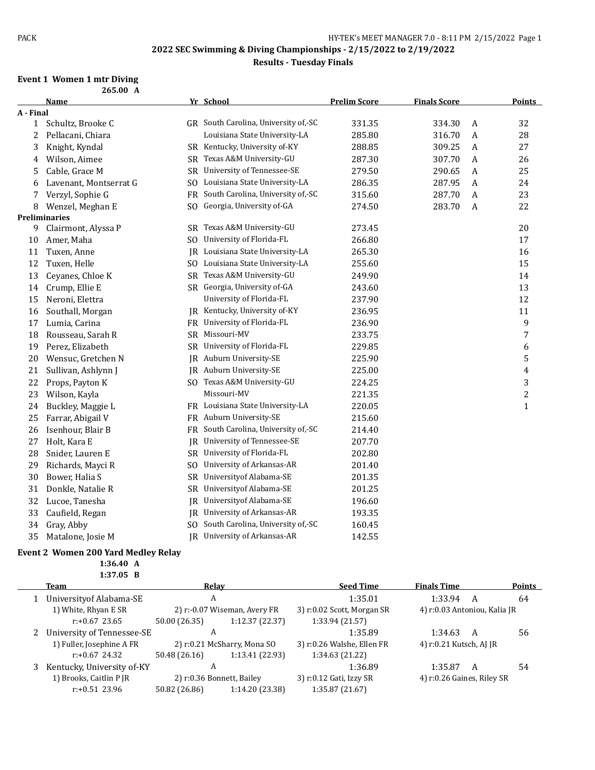### **Results - Tuesday Finals**

#### **Event 1 Women 1 mtr Diving 265.00 A**

|           | Name                   |                | Yr School                            | <b>Prelim Score</b> | <b>Finals Score</b> |                  | <b>Points</b>  |
|-----------|------------------------|----------------|--------------------------------------|---------------------|---------------------|------------------|----------------|
| A - Final |                        |                |                                      |                     |                     |                  |                |
|           | 1 Schultz, Brooke C    |                | GR South Carolina, University of,-SC | 331.35              | 334.30              | A                | 32             |
| 2         | Pellacani, Chiara      |                | Louisiana State University-LA        | 285.80              | 316.70              | A                | 28             |
| 3         | Knight, Kyndal         | SR             | Kentucky, University of-KY           | 288.85              | 309.25              | A                | 27             |
| 4         | Wilson, Aimee          | SR             | Texas A&M University-GU              | 287.30              | 307.70              | A                | 26             |
| 5         | Cable, Grace M         | SR             | University of Tennessee-SE           | 279.50              | 290.65              | A                | 25             |
| 6         | Lavenant, Montserrat G | SO.            | Louisiana State University-LA        | 286.35              | 287.95              | A                | 24             |
| 7         | Verzyl, Sophie G       | FR             | South Carolina, University of,-SC    | 315.60              | 287.70              | A                | 23             |
| 8         | Wenzel, Meghan E       | SO.            | Georgia, University of-GA            | 274.50              | 283.70              | $\boldsymbol{A}$ | 22             |
|           | <b>Preliminaries</b>   |                |                                      |                     |                     |                  |                |
| 9         | Clairmont, Alyssa P    | SR.            | Texas A&M University-GU              | 273.45              |                     |                  | 20             |
| 10        | Amer, Maha             | SO.            | University of Florida-FL             | 266.80              |                     |                  | 17             |
| 11        | Tuxen, Anne            | IR             | Louisiana State University-LA        | 265.30              |                     |                  | 16             |
| 12        | Tuxen, Helle           |                | SO Louisiana State University-LA     | 255.60              |                     |                  | 15             |
| 13        | Ceyanes, Chloe K       | SR             | Texas A&M University-GU              | 249.90              |                     |                  | 14             |
| 14        | Crump, Ellie E         |                | SR Georgia, University of-GA         | 243.60              |                     |                  | 13             |
| 15        | Neroni, Elettra        |                | University of Florida-FL             | 237.90              |                     |                  | 12             |
| 16        | Southall, Morgan       | IR             | Kentucky, University of-KY           | 236.95              |                     |                  | 11             |
| 17        | Lumia, Carina          |                | FR University of Florida-FL          | 236.90              |                     |                  | 9              |
| 18        | Rousseau, Sarah R      | SR             | Missouri-MV                          | 233.75              |                     |                  | $\overline{7}$ |
| 19        | Perez, Elizabeth       | SR             | University of Florida-FL             | 229.85              |                     |                  | 6              |
| 20        | Wensuc, Gretchen N     | IR             | Auburn University-SE                 | 225.90              |                     |                  | 5              |
| 21        | Sullivan, Ashlynn J    | IR             | Auburn University-SE                 | 225.00              |                     |                  | $\overline{4}$ |
| 22        | Props, Payton K        |                | SO Texas A&M University-GU           | 224.25              |                     |                  | 3              |
| 23        | Wilson, Kayla          |                | Missouri-MV                          | 221.35              |                     |                  | $\sqrt{2}$     |
| 24        | Buckley, Maggie L      |                | FR Louisiana State University-LA     | 220.05              |                     |                  | $\mathbf{1}$   |
| 25        | Farrar, Abigail V      |                | FR Auburn University-SE              | 215.60              |                     |                  |                |
| 26        | Isenhour, Blair B      | FR             | South Carolina, University of,-SC    | 214.40              |                     |                  |                |
| 27        | Holt, Kara E           | IR             | University of Tennessee-SE           | 207.70              |                     |                  |                |
| 28        | Snider, Lauren E       |                | SR University of Florida-FL          | 202.80              |                     |                  |                |
| 29        | Richards, Mayci R      | S <sub>O</sub> | University of Arkansas-AR            | 201.40              |                     |                  |                |
| 30        | Bower, Halia S         | SR             | Universityof Alabama-SE              | 201.35              |                     |                  |                |
| 31        | Donkle, Natalie R      | SR             | Universityof Alabama-SE              | 201.25              |                     |                  |                |
| 32        | Lucoe, Tanesha         | IR             | Universityof Alabama-SE              | 196.60              |                     |                  |                |
| 33        | Caufield, Regan        | IR             | University of Arkansas-AR            | 193.35              |                     |                  |                |
| 34        | Gray, Abby             | SO.            | South Carolina, University of,-SC    | 160.45              |                     |                  |                |
| 35        | Matalone, Josie M      |                | IR University of Arkansas-AR         | 142.55              |                     |                  |                |

### **Event 2 Women 200 Yard Medley Relay**

**1:36.40 A 1:37.05 B**

| Team                       | Relav         |                              | <b>Seed Time</b>           | <b>Finals Time</b>           |   | Points |
|----------------------------|---------------|------------------------------|----------------------------|------------------------------|---|--------|
| University of Alabama-SE   | A             |                              | 1:35.01                    | 1:33.94                      | A | 64     |
| 1) White, Rhyan E SR       |               | 2) r:-0.07 Wiseman, Avery FR | 3) r:0.02 Scott, Morgan SR | 4) r:0.03 Antoniou, Kalia JR |   |        |
| $r: +0.67$ 23.65           | 50.00 (26.35) | 1:12.37 (22.37)              | 1:33.94 (21.57)            |                              |   |        |
| University of Tennessee-SE | A             |                              | 1:35.89                    | 1:34.63                      | A | 56     |
| 1) Fuller, Josephine A FR  |               | 2) r:0.21 McSharry, Mona SO  | 3) r:0.26 Walshe, Ellen FR | 4) r:0.21 Kutsch, AJ JR      |   |        |
| $r: +0.67$ 24.32           | 50.48 (26.16) | 1:13.41 (22.93)              | 1:34.63 (21.22)            |                              |   |        |
| Kentucky, University of-KY | А             |                              | 1:36.89                    | 1:35.87                      | A | 54     |
| 1) Brooks, Caitlin P JR    |               | 2) r:0.36 Bonnett, Bailey    | 3) r:0.12 Gati, Izzy SR    | 4) r:0.26 Gaines, Riley SR   |   |        |
| $r: +0.51$ 23.96           | 50.82 (26.86) | 1:14.20 (23.38)              | 1:35.87 (21.67)            |                              |   |        |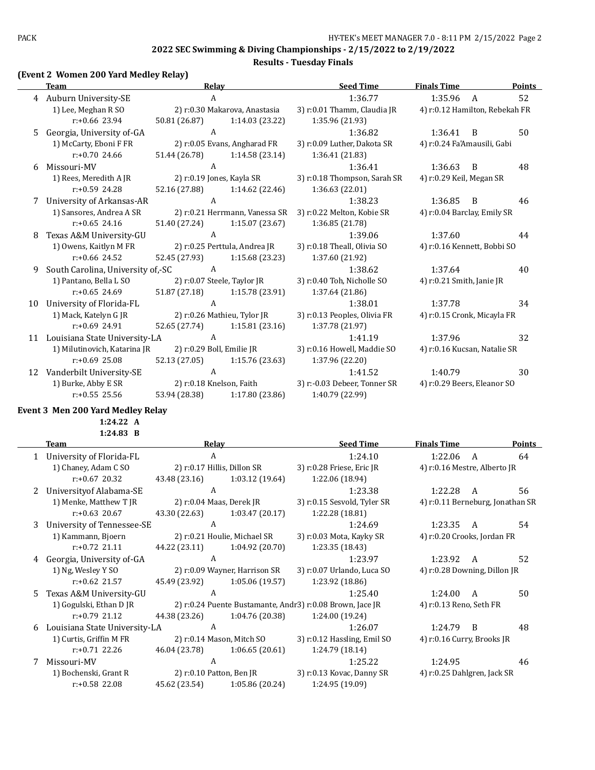### **Results - Tuesday Finals**

### **(Event 2 Women 200 Yard Medley Relay)**

|    | <b>Team</b>                       | Relay                       |                                | <b>Seed Time</b>             | <b>Finals Time</b>             |                | <b>Points</b> |
|----|-----------------------------------|-----------------------------|--------------------------------|------------------------------|--------------------------------|----------------|---------------|
|    | 4 Auburn University-SE            | A                           |                                | 1:36.77                      | 1:35.96                        | $\overline{A}$ | 52            |
|    | 1) Lee, Meghan R SO               |                             | 2) r:0.30 Makarova, Anastasia  | 3) r:0.01 Thamm, Claudia JR  | 4) r:0.12 Hamilton, Rebekah FR |                |               |
|    | $r: +0.66$ 23.94                  | 50.81 (26.87)               | 1:14.03 (23.22)                | 1:35.96 (21.93)              |                                |                |               |
| .5 | Georgia, University of-GA         | $\mathbf{A}$                |                                | 1:36.82                      | 1:36.41                        | $\overline{B}$ | 50            |
|    | 1) McCarty, Eboni F FR            |                             | 2) r:0.05 Evans, Angharad FR   | 3) r:0.09 Luther, Dakota SR  | 4) r:0.24 Fa'Amausili, Gabi    |                |               |
|    | $r: +0.70$ 24.66                  | 51.44 (26.78)               | 1:14.58(23.14)                 | 1:36.41 (21.83)              |                                |                |               |
| 6  | Missouri-MV                       | A                           |                                | 1:36.41                      | 1:36.63                        | B              | 48            |
|    | 1) Rees, Meredith A JR            |                             | 2) r:0.19 Jones, Kayla SR      | 3) r:0.18 Thompson, Sarah SR | 4) r:0.29 Keil, Megan SR       |                |               |
|    | $r: +0.59$ 24.28                  | 52.16 (27.88)               | 1:14.62(22.46)                 | 1:36.63(22.01)               |                                |                |               |
| 7  | University of Arkansas-AR         | A                           |                                | 1:38.23                      | 1:36.85                        | B              | 46            |
|    | 1) Sansores, Andrea A SR          |                             | 2) r:0.21 Herrmann, Vanessa SR | 3) r:0.22 Melton, Kobie SR   | 4) r:0.04 Barclay, Emily SR    |                |               |
|    | $r: +0.65$ 24.16                  | 51.40 (27.24)               | 1:15.07(23.67)                 | 1:36.85 (21.78)              |                                |                |               |
| 8  | Texas A&M University-GU           | $\mathbf{A}$                |                                | 1:39.06                      | 1:37.60                        |                | 44            |
|    | 1) Owens, Kaitlyn M FR            |                             | 2) r:0.25 Perttula, Andrea JR  | 3) r:0.18 Theall, Olivia SO  | 4) r:0.16 Kennett, Bobbi SO    |                |               |
|    | $r: +0.66$ 24.52                  | 52.45 (27.93)               | 1:15.68 (23.23)                | 1:37.60 (21.92)              |                                |                |               |
| 9  | South Carolina, University of,-SC | A                           |                                | 1:38.62                      | 1:37.64                        |                | 40            |
|    | 1) Pantano, Bella L SO            | 2) r:0.07 Steele, Taylor JR |                                | 3) r:0.40 Toh, Nicholle SO   | 4) $r: 0.21$ Smith, Janie JR   |                |               |
|    | $r: +0.65$ 24.69                  | 51.87 (27.18)               | 1:15.78 (23.91)                | 1:37.64 (21.86)              |                                |                |               |
| 10 | University of Florida-FL          | $\mathbf{A}$                |                                | 1:38.01                      | 1:37.78                        |                | 34            |
|    | 1) Mack, Katelyn G JR             |                             | 2) r:0.26 Mathieu, Tylor JR    | 3) r:0.13 Peoples, Olivia FR | 4) r:0.15 Cronk, Micayla FR    |                |               |
|    | $r: +0.69$ 24.91                  | 52.65 (27.74)               | 1:15.81(23.16)                 | 1:37.78 (21.97)              |                                |                |               |
| 11 | Louisiana State University-LA     | A                           |                                | 1:41.19                      | 1:37.96                        |                | 32            |
|    | 1) Milutinovich, Katarina JR      | 2) r:0.29 Boll, Emilie JR   |                                | 3) r:0.16 Howell, Maddie SO  | 4) r:0.16 Kucsan, Natalie SR   |                |               |
|    | $r: +0.69$ 25.08                  | 52.13 (27.05)               | 1:15.76 (23.63)                | 1:37.96 (22.20)              |                                |                |               |
| 12 | Vanderbilt University-SE          | $\mathbf{A}$                |                                | 1:41.52                      | 1:40.79                        |                | 30            |
|    | 1) Burke, Abby E SR               | 2) r:0.18 Knelson, Faith    |                                | 3) r:-0.03 Debeer, Tonner SR | 4) r:0.29 Beers, Eleanor SO    |                |               |
|    | $r: +0.55$ 25.56                  | 53.94 (28.38)               | 1:17.80 (23.86)                | 1:40.79 (22.99)              |                                |                |               |

#### **Event 3 Men 200 Yard Medley Relay**

**1:24.22 A**

**1:24.83 B**

|    | Team                          | Relay                    |                               | <b>Seed Time</b>                                          | <b>Finals Time</b>               |                | <b>Points</b> |
|----|-------------------------------|--------------------------|-------------------------------|-----------------------------------------------------------|----------------------------------|----------------|---------------|
|    | University of Florida-FL      | A                        |                               | 1:24.10                                                   | 1:22.06                          | A              | 64            |
|    | 1) Chaney, Adam C SO          |                          | 2) r:0.17 Hillis, Dillon SR   | 3) r:0.28 Friese, Eric JR                                 | 4) r:0.16 Mestre, Alberto JR     |                |               |
|    | $r: +0.67$ 20.32              | 43.48 (23.16)            | 1:03.12(19.64)                | 1:22.06 (18.94)                                           |                                  |                |               |
| 2  | University of Alabama-SE      | A                        |                               | 1:23.38                                                   | 1:22.28                          | A              | 56            |
|    | 1) Menke, Matthew T JR        | 2) r:0.04 Maas, Derek JR |                               | 3) r:0.15 Sesvold, Tyler SR                               | 4) r:0.11 Berneburg, Jonathan SR |                |               |
|    | $r: +0.63$ 20.67              | 43.30 (22.63)            | 1:03.47(20.17)                | 1:22.28(18.81)                                            |                                  |                |               |
| 3  | University of Tennessee-SE    | A                        |                               | 1:24.69                                                   | 1:23.35                          | A              | 54            |
|    | 1) Kammann, Bjoern            |                          | 2) r:0.21 Houlie, Michael SR  | 3) r:0.03 Mota, Kayky SR                                  | 4) r:0.20 Crooks, Jordan FR      |                |               |
|    | $r: +0.72$ 21.11              | 44.22 (23.11)            | 1:04.92 (20.70)               | 1:23.35(18.43)                                            |                                  |                |               |
|    | 4 Georgia, University of-GA   | A                        |                               | 1:23.97                                                   | 1:23.92                          | A              | 52            |
|    | 1) Ng, Wesley Y SO            |                          | 2) r:0.09 Wayner, Harrison SR | 3) r:0.07 Urlando, Luca SO                                | 4) r:0.28 Downing, Dillon JR     |                |               |
|    | $r: +0.62$ 21.57              | 45.49 (23.92)            | 1:05.06 (19.57)               | 1:23.92 (18.86)                                           |                                  |                |               |
| 5. | Texas A&M University-GU       | A                        |                               | 1:25.40                                                   | 1:24.00                          | A              | 50            |
|    | 1) Gogulski, Ethan D JR       |                          |                               | 2) r:0.24 Puente Bustamante, Andr3) r:0.08 Brown, Jace JR | 4) r:0.13 Reno, Seth FR          |                |               |
|    | $r: +0.79$ 21.12              | 44.38 (23.26)            | 1:04.76(20.38)                | 1:24.00 (19.24)                                           |                                  |                |               |
| 6  | Louisiana State University-LA | A                        |                               | 1:26.07                                                   | 1:24.79                          | $\overline{B}$ | 48            |
|    | 1) Curtis, Griffin M FR       |                          | 2) r:0.14 Mason, Mitch SO     | 3) r:0.12 Hassling, Emil SO                               | 4) r:0.16 Curry, Brooks JR       |                |               |
|    | $r: +0.71$ 22.26              | 46.04 (23.78)            | 1:06.65(20.61)                | 1:24.79 (18.14)                                           |                                  |                |               |
|    | Missouri-MV                   | A                        |                               | 1:25.22                                                   | 1:24.95                          |                | 46            |
|    | 1) Bochenski, Grant R         | 2) r:0.10 Patton, Ben JR |                               | 3) r:0.13 Kovac, Danny SR                                 | 4) r:0.25 Dahlgren, Jack SR      |                |               |
|    | $r: +0.58$ 22.08              | 45.62 (23.54)            | 1:05.86(20.24)                | 1:24.95 (19.09)                                           |                                  |                |               |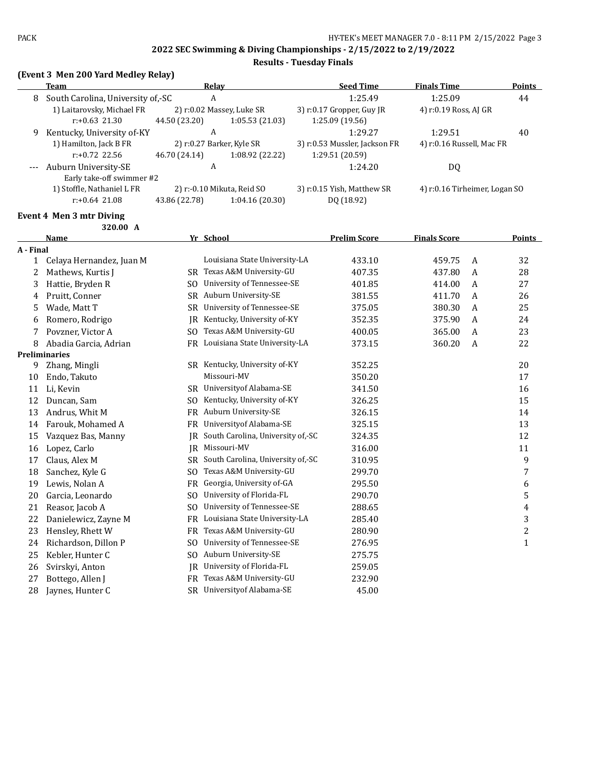### **Results - Tuesday Finals**

### **(Event 3 Men 200 Yard Medley Relay)**

|   | Relay<br>Team                     |                           |                            | <b>Seed Time</b>              | <b>Finals Time</b>            | <b>Points</b> |
|---|-----------------------------------|---------------------------|----------------------------|-------------------------------|-------------------------------|---------------|
| 8 | South Carolina, University of,-SC | A                         |                            | 1:25.49                       | 1:25.09                       | 44            |
|   | 1) Laitarovsky, Michael FR        | 2) r:0.02 Massey, Luke SR |                            | 3) r:0.17 Gropper, Guy JR     | 4) r:0.19 Ross, AJ GR         |               |
|   | $r: +0.63$ 21.30                  | 44.50 (23.20)             | 1:05.53(21.03)             | 1:25.09 (19.56)               |                               |               |
| 9 | Kentucky, University of-KY        | A                         |                            | 1:29.27                       | 1:29.51                       | 40            |
|   | 1) Hamilton, Jack B FR            | 2) r:0.27 Barker, Kyle SR |                            | 3) r:0.53 Mussler, Jackson FR | 4) r:0.16 Russell, Mac FR     |               |
|   | $r: +0.72$ 22.56                  | 46.70 (24.14)             | 1:08.92 (22.22)            | 1:29.51 (20.59)               |                               |               |
|   | Auburn University-SE              | A                         |                            | 1:24.20                       | DQ                            |               |
|   | Early take-off swimmer #2         |                           |                            |                               |                               |               |
|   | 1) Stoffle, Nathaniel L FR        |                           | 2) r:-0.10 Mikuta, Reid SO | 3) r:0.15 Yish, Matthew SR    | 4) r:0.16 Tirheimer, Logan SO |               |
|   | $r: +0.64$ 21.08                  | 43.86 (22.78)             | 1:04.16(20.30)             | DQ (18.92)                    |                               |               |
|   |                                   |                           |                            |                               |                               |               |

## **Event 4 Men 3 mtr Diving**

|              | 320.00 A                 |                |                                   |                     |                     |   |               |
|--------------|--------------------------|----------------|-----------------------------------|---------------------|---------------------|---|---------------|
|              | <b>Name</b>              |                | Yr School                         | <b>Prelim Score</b> | <b>Finals Score</b> |   | <b>Points</b> |
| A - Final    |                          |                |                                   |                     |                     |   |               |
| $\mathbf{1}$ | Celaya Hernandez, Juan M |                | Louisiana State University-LA     | 433.10              | 459.75              | A | 32            |
| 2            | Mathews, Kurtis J        | SR.            | Texas A&M University-GU           | 407.35              | 437.80              | A | 28            |
| 3            | Hattie, Bryden R         | SO.            | University of Tennessee-SE        | 401.85              | 414.00              | A | 27            |
| 4            | Pruitt, Conner           | <b>SR</b>      | Auburn University-SE              | 381.55              | 411.70              | A | 26            |
| 5            | Wade, Matt T             | SR             | University of Tennessee-SE        | 375.05              | 380.30              | A | 25            |
| 6            | Romero, Rodrigo          | IR.            | Kentucky, University of-KY        | 352.35              | 375.90              | A | 24            |
| 7            | Povzner, Victor A        | SO.            | Texas A&M University-GU           | 400.05              | 365.00              | A | 23            |
| 8            | Abadia Garcia, Adrian    | FR             | Louisiana State University-LA     | 373.15              | 360.20              | A | 22            |
|              | <b>Preliminaries</b>     |                |                                   |                     |                     |   |               |
| 9            | Zhang, Mingli            |                | SR Kentucky, University of-KY     | 352.25              |                     |   | 20            |
| 10           | Endo, Takuto             |                | Missouri-MV                       | 350.20              |                     |   | 17            |
| 11           | Li, Kevin                | SR.            | Universityof Alabama-SE           | 341.50              |                     |   | 16            |
| 12           | Duncan, Sam              | SO.            | Kentucky, University of-KY        | 326.25              |                     |   | 15            |
| 13           | Andrus, Whit M           | <b>FR</b>      | Auburn University-SE              | 326.15              |                     |   | 14            |
| 14           | Farouk, Mohamed A        | <b>FR</b>      | Universityof Alabama-SE           | 325.15              |                     |   | 13            |
| 15           | Vazquez Bas, Manny       | IR             | South Carolina, University of,-SC | 324.35              |                     |   | 12            |
| 16           | Lopez, Carlo             | IR.            | Missouri-MV                       | 316.00              |                     |   | 11            |
| 17           | Claus, Alex M            | SR             | South Carolina, University of,-SC | 310.95              |                     |   | 9             |
| 18           | Sanchez, Kyle G          | SO.            | Texas A&M University-GU           | 299.70              |                     |   | 7             |
| 19           | Lewis, Nolan A           | FR             | Georgia, University of-GA         | 295.50              |                     |   | 6             |
| 20           | Garcia, Leonardo         | SO.            | University of Florida-FL          | 290.70              |                     |   | 5             |
| 21           | Reasor, Jacob A          | SO.            | University of Tennessee-SE        | 288.65              |                     |   | 4             |
| 22           | Danielewicz, Zayne M     | <b>FR</b>      | Louisiana State University-LA     | 285.40              |                     |   | 3             |
| 23           | Hensley, Rhett W         | FR             | Texas A&M University-GU           | 280.90              |                     |   | 2             |
| 24           | Richardson, Dillon P     | S <sub>0</sub> | University of Tennessee-SE        | 276.95              |                     |   | $\mathbf{1}$  |
| 25           | Kebler, Hunter C         | SO.            | Auburn University-SE              | 275.75              |                     |   |               |
| 26           | Svirskyi, Anton          | <b>IR</b>      | University of Florida-FL          | 259.05              |                     |   |               |
| 27           | Bottego, Allen J         | FR             | Texas A&M University-GU           | 232.90              |                     |   |               |
| 28           | Jaynes, Hunter C         | SR.            | University of Alabama-SE          | 45.00               |                     |   |               |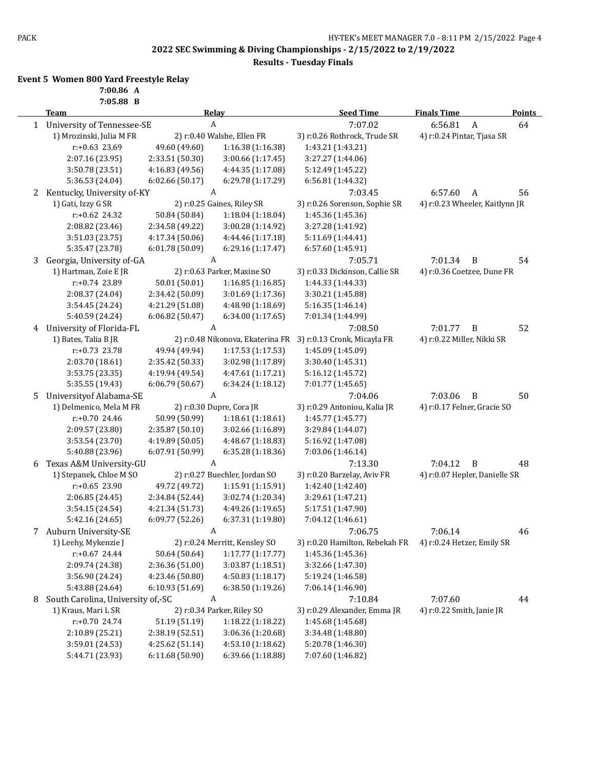**Results - Tuesday Finals**

### **Event 5 Women 800 Yard Freestyle Relay**

**7:00.86 A**

|   | 7:05.88 B                         |                                   |                                  |                                |                                |               |
|---|-----------------------------------|-----------------------------------|----------------------------------|--------------------------------|--------------------------------|---------------|
|   | <b>Team</b>                       |                                   | Relay                            | <b>Seed Time</b>               | <b>Finals Time</b>             | <b>Points</b> |
|   | 1 University of Tennessee-SE      |                                   | A                                | 7:07.02                        | 6:56.81<br>$\boldsymbol{A}$    | 64            |
|   | 1) Mrozinski, Julia M FR          |                                   | 2) r:0.40 Walshe, Ellen FR       | 3) r:0.26 Rothrock, Trude SR   | 4) r:0.24 Pintar, Tjasa SR     |               |
|   | r:+0.63 23.69                     | 49.60 (49.60)                     | 1:16.38 (1:16.38)                | 1:43.21 (1:43.21)              |                                |               |
|   | 2:07.16 (23.95)                   | 2:33.51 (50.30)                   | 3:00.66 (1:17.45)                | 3:27.27 (1:44.06)              |                                |               |
|   | 3:50.78 (23.51)                   | 4:16.83 (49.56)                   | 4:44.35 (1:17.08)                | 5:12.49 (1:45.22)              |                                |               |
|   | 5:36.53 (24.04)                   | 6:02.66 (50.17)                   | 6:29.78 (1:17.29)                | 6:56.81 (1:44.32)              |                                |               |
| 2 | Kentucky, University of-KY        |                                   | A                                | 7:03.45                        | 6:57.60<br>A                   | 56            |
|   | 1) Gati, Izzy G SR                |                                   | 2) r:0.25 Gaines, Riley SR       | 3) r:0.26 Sorenson, Sophie SR  | 4) r:0.23 Wheeler, Kaitlynn JR |               |
|   | $r: +0.62$ 24.32                  | 50.84 (50.84)                     | 1:18.04 (1:18.04)                | 1:45.36 (1:45.36)              |                                |               |
|   | 2:08.82 (23.46)                   | 2:34.58 (49.22)                   | 3:00.28 (1:14.92)                | 3:27.28 (1:41.92)              |                                |               |
|   | 3:51.03 (23.75)                   | 4:17.34 (50.06)                   | 4:44.46 (1:17.18)                | 5:11.69 (1:44.41)              |                                |               |
|   | 5:35.47 (23.78)                   | 6:01.78 (50.09)                   | 6:29.16 (1:17.47)                | 6:57.60 (1:45.91)              |                                |               |
| 3 | Georgia, University of-GA         |                                   | A                                | 7:05.71                        | 7:01.34<br>B                   | 54            |
|   | 1) Hartman, Zoie E JR             |                                   | 2) r:0.63 Parker, Maxine SO      | 3) r:0.33 Dickinson, Callie SR | 4) r:0.36 Coetzee, Dune FR     |               |
|   | r:+0.74 23.89                     | 50.01 (50.01)                     | 1:16.85(1:16.85)                 | 1:44.33 (1:44.33)              |                                |               |
|   | 2:08.37 (24.04)                   | 2:34.42 (50.09)                   | 3:01.69 (1:17.36)                | 3:30.21 (1:45.88)              |                                |               |
|   | 3:54.45 (24.24)                   | 4:21.29 (51.08)                   | 4:48.90 (1:18.69)                | 5:16.35 (1:46.14)              |                                |               |
|   | 5:40.59 (24.24)                   | 6:06.82 (50.47)                   | 6:34.00(1:17.65)                 | 7:01.34 (1:44.99)              |                                |               |
| 4 | University of Florida-FL          |                                   | A                                | 7:08.50                        | 7:01.77<br>B                   | 52            |
|   | 1) Bates, Talia B JR              |                                   | 2) r:0.48 Nikonova, Ekaterina FR | 3) r:0.13 Cronk, Micayla FR    | 4) r:0.22 Miller, Nikki SR     |               |
|   | r:+0.73 23.78                     | 49.94 (49.94)                     | 1:17.53 (1:17.53)                | 1:45.09 (1:45.09)              |                                |               |
|   | 2:03.70 (18.61)                   | 2:35.42 (50.33)                   | 3:02.98 (1:17.89)                | 3:30.40 (1:45.31)              |                                |               |
|   | 3:53.75 (23.35)                   | 4:19.94 (49.54)                   | 4:47.61 (1:17.21)                | 5:16.12 (1:45.72)              |                                |               |
|   | 5:35.55 (19.43)                   | 6:06.79 (50.67)                   | 6:34.24 (1:18.12)                | 7:01.77 (1:45.65)              |                                |               |
| 5 | Universityof Alabama-SE           |                                   | A                                | 7:04.06                        | 7:03.06<br>B                   | 50            |
|   | 1) Delmenico, Mela M FR           |                                   | 2) r:0.30 Dupre, Cora JR         | 3) r:0.29 Antoniou, Kalia JR   | 4) r:0.17 Felner, Gracie SO    |               |
|   | r:+0.70 24.46                     | 50.99 (50.99)                     | 1:18.61(1:18.61)                 | 1:45.77 (1:45.77)              |                                |               |
|   | 2:09.57 (23.80)                   | 2:35.87 (50.10)                   | 3:02.66 (1:16.89)                | 3:29.84 (1:44.07)              |                                |               |
|   | 3:53.54 (23.70)                   | 4:19.89 (50.05)                   | 4:48.67 (1:18.83)                | 5:16.92 (1:47.08)              |                                |               |
|   | 5:40.88 (23.96)                   | 6:07.91 (50.99)                   | 6:35.28 (1:18.36)                | 7:03.06 (1:46.14)              |                                |               |
| 6 | Texas A&M University-GU           |                                   | A                                | 7:13.30                        | 7:04.12<br>$\, {\bf B}$        | 48            |
|   | 1) Stepanek, Chloe M SO           |                                   | 2) r:0.27 Buechler, Jordan SO    | 3) r:0.20 Barzelay, Aviv FR    | 4) r:0.07 Hepler, Danielle SR  |               |
|   | $r: +0.65$ 23.90                  | 49.72 (49.72)                     | 1:15.91 (1:15.91)                | 1:42.40 (1:42.40)              |                                |               |
|   | 2:06.85 (24.45)                   | 2:34.84 (52.44)                   | 3:02.74 (1:20.34)                | 3:29.61 (1:47.21)              |                                |               |
|   | 3:54.15 (24.54)                   | 4:21.34 (51.73)                   | 4:49.26 (1:19.65)                | 5:17.51 (1:47.90)              |                                |               |
|   | 5:42.16 (24.65)                   | 6:09.77 (52.26)                   | 6:37.31 (1:19.80)                | 7:04.12 (1:46.61)              |                                |               |
|   | Auburn University-SE              |                                   | A                                | 7:06.75                        | 7:06.14                        | 46            |
|   | 1) Leehy, Mykenzie J              |                                   | 2) r:0.24 Merritt, Kensley SO    | 3) r:0.20 Hamilton, Rebekah FR | 4) r:0.24 Hetzer, Emily SR     |               |
|   | r:+0.67 24.44                     | 50.64 (50.64)                     | 1:17.77 (1:17.77)                | 1:45.36 (1:45.36)              |                                |               |
|   | 2:09.74 (24.38)                   | 2:36.36 (51.00)                   | 3:03.87 (1:18.51)                | 3:32.66 (1:47.30)              |                                |               |
|   | 3:56.90 (24.24)                   | 4:23.46 (50.80)                   | 4:50.83 (1:18.17)                | 5:19.24 (1:46.58)              |                                |               |
|   | 5:43.88 (24.64)                   | 6:10.93 (51.69)                   | 6:38.50 (1:19.26)                | 7:06.14 (1:46.90)              |                                |               |
| 8 | South Carolina, University of,-SC |                                   | A                                | 7:10.84                        | 7:07.60                        | 44            |
|   | 1) Kraus, Mari L SR               |                                   | 2) r:0.34 Parker, Riley SO       | 3) r:0.29 Alexander, Emma JR   | 4) r:0.22 Smith, Janie JR      |               |
|   |                                   |                                   |                                  |                                |                                |               |
|   | r:+0.70 24.74                     | 51.19 (51.19)                     | 1:18.22 (1:18.22)                | 1:45.68 (1:45.68)              |                                |               |
|   | 2:10.89 (25.21)                   | 2:38.19 (52.51)<br>4:25.62(51.14) | 3:06.36 (1:20.68)                | 3:34.48 (1:48.80)              |                                |               |
|   | 3:59.01 (24.53)                   |                                   | 4:53.10 (1:18.62)                | 5:20.78 (1:46.30)              |                                |               |
|   | 5:44.71 (23.93)                   | 6:11.68 (50.90)                   | 6:39.66 (1:18.88)                | 7:07.60 (1:46.82)              |                                |               |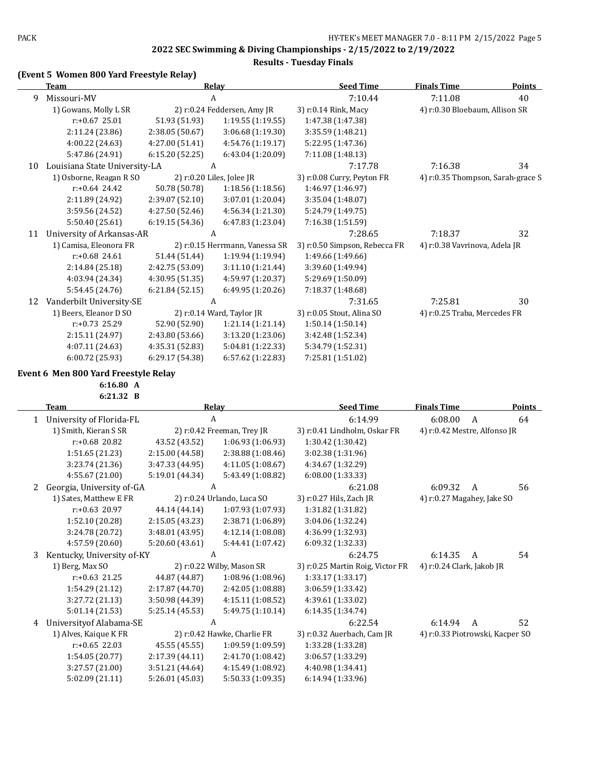**Results - Tuesday Finals**

### **(Event 5 Women 800 Yard Freestyle Relay)**

|    | <b>Team</b>                   |                 | <b>Relay</b>                   | <b>Seed Time</b>              | <b>Finals Time</b>                | <b>Points</b> |
|----|-------------------------------|-----------------|--------------------------------|-------------------------------|-----------------------------------|---------------|
| 9  | Missouri-MV                   |                 | A                              | 7:10.44                       | 7:11.08                           | 40            |
|    | 1) Gowans, Molly L SR         |                 | 2) r:0.24 Feddersen, Amy JR    | 3) r:0.14 Rink, Macy          | 4) r:0.30 Bloebaum, Allison SR    |               |
|    | $r: +0.67$ 25.01              | 51.93 (51.93)   | 1:19.55(1:19.55)               | 1:47.38 (1:47.38)             |                                   |               |
|    | 2:11.24 (23.86)               | 2:38.05(50.67)  | 3:06.68(1:19.30)               | 3:35.59 (1:48.21)             |                                   |               |
|    | 4:00.22 (24.63)               | 4:27.00 (51.41) | 4:54.76 (1:19.17)              | 5:22.95 (1:47.36)             |                                   |               |
|    | 5:47.86 (24.91)               | 6:15.20(52.25)  | 6:43.04 (1:20.09)              | 7:11.08 (1:48.13)             |                                   |               |
| 10 | Louisiana State University-LA |                 | A                              | 7:17.78                       | 7:16.38                           | 34            |
|    | 1) Osborne, Reagan R SO       |                 | 2) $r: 0.20$ Liles, Jolee JR   | 3) r:0.08 Curry, Peyton FR    | 4) r:0.35 Thompson, Sarah-grace S |               |
|    | $r: +0.64$ 24.42              | 50.78 (50.78)   | 1:18.56(1:18.56)               | 1:46.97 (1:46.97)             |                                   |               |
|    | 2:11.89 (24.92)               | 2:39.07(52.10)  | 3:07.01 (1:20.04)              | 3:35.04 (1:48.07)             |                                   |               |
|    | 3:59.56 (24.52)               | 4:27.50 (52.46) | 4:56.34 (1:21.30)              | 5:24.79 (1:49.75)             |                                   |               |
|    | 5:50.40 (25.61)               | 6:19.15(54.36)  | 6:47.83(1:23.04)               | 7:16.38 (1:51.59)             |                                   |               |
| 11 | University of Arkansas-AR     |                 | A                              | 7:28.65                       | 7:18.37                           | 32            |
|    | 1) Camisa, Eleonora FR        |                 | 2) r:0.15 Herrmann, Vanessa SR | 3) r:0.50 Simpson, Rebecca FR | 4) r:0.38 Vavrinova, Adela JR     |               |
|    | $r: +0.68$ 24.61              | 51.44 (51.44)   | 1:19.94 (1:19.94)              | 1:49.66 (1:49.66)             |                                   |               |
|    | 2:14.84(25.18)                | 2:42.75 (53.09) | 3:11.10(1:21.44)               | 3:39.60 (1:49.94)             |                                   |               |
|    | 4:03.94 (24.34)               | 4:30.95 (51.35) | 4:59.97 (1:20.37)              | 5:29.69 (1:50.09)             |                                   |               |
|    | 5:54.45 (24.76)               | 6:21.84(52.15)  | 6:49.95(1:20.26)               | 7:18.37 (1:48.68)             |                                   |               |
| 12 | Vanderbilt University-SE      |                 | A                              | 7:31.65                       | 7:25.81                           | 30            |
|    | 1) Beers, Eleanor D SO        |                 | 2) $r:0.14$ Ward, Taylor JR    | 3) r:0.05 Stout, Alina SO     | 4) r:0.25 Traba, Mercedes FR      |               |
|    | $r: +0.73$ 25.29              | 52.90 (52.90)   | 1:21.14(1:21.14)               | 1:50.14(1:50.14)              |                                   |               |
|    | 2:15.11 (24.97)               | 2:43.80 (53.66) | 3:13.20 (1:23.06)              | 3:42.48 (1:52.34)             |                                   |               |
|    | 4:07.11 (24.63)               | 4:35.31 (52.83) | 5:04.81 (1:22.33)              | 5:34.79 (1:52.31)             |                                   |               |
|    | 6:00.72 (25.93)               | 6:29.17 (54.38) | 6:57.62 (1:22.83)              | 7:25.81 (1:51.02)             |                                   |               |

#### **Event 6 Men 800 Yard Freestyle Relay**

**6:16.80 A**

**6:21.32 B**

|   | <b>Team</b>                |                 | Relay                       | <b>Seed Time</b>                 | <b>Finals Time</b>              | <b>Points</b> |
|---|----------------------------|-----------------|-----------------------------|----------------------------------|---------------------------------|---------------|
| 1 | University of Florida-FL   |                 | A                           | 6:14.99                          | 6:08.00<br>A                    | 64            |
|   | 1) Smith, Kieran S SR      |                 | 2) r:0.42 Freeman, Trey JR  | 3) r:0.41 Lindholm, Oskar FR     | 4) r:0.42 Mestre, Alfonso JR    |               |
|   | $r: +0.68$ 20.82           | 43.52 (43.52)   | 1:06.93(1:06.93)            | 1:30.42 (1:30.42)                |                                 |               |
|   | 1:51.65 (21.23)            | 2:15.00(44.58)  | 2:38.88 (1:08.46)           | 3:02.38 (1:31.96)                |                                 |               |
|   | 3:23.74 (21.36)            | 3:47.33 (44.95) | 4:11.05 (1:08.67)           | 4:34.67 (1:32.29)                |                                 |               |
|   | 4:55.67 (21.00)            | 5:19.01 (44.34) | 5:43.49 (1:08.82)           | 6:08.00 (1:33.33)                |                                 |               |
| 2 | Georgia, University of-GA  |                 | A                           | 6:21.08                          | 6:09.32<br>A                    | 56            |
|   | 1) Sates, Matthew E FR     |                 | 2) r:0.24 Urlando, Luca SO  | 3) r:0.27 Hils, Zach JR          | 4) r:0.27 Magahey, Jake SO      |               |
|   | $r: +0.63$ 20.97           | 44.14 (44.14)   | 1:07.93(1:07.93)            | 1:31.82 (1:31.82)                |                                 |               |
|   | 1:52.10 (20.28)            | 2:15.05 (43.23) | 2:38.71 (1:06.89)           | 3:04.06 (1:32.24)                |                                 |               |
|   | 3:24.78 (20.72)            | 3:48.01 (43.95) | 4:12.14 (1:08.08)           | 4:36.99 (1:32.93)                |                                 |               |
|   | 4:57.59 (20.60)            | 5:20.60 (43.61) | 5:44.41 (1:07.42)           | 6:09.32 (1:32.33)                |                                 |               |
| 3 | Kentucky, University of-KY |                 | A                           | 6:24.75                          | 6:14.35<br>A                    | 54            |
|   | 1) Berg, Max SO            |                 | 2) r:0.22 Wilby, Mason SR   | 3) r:0.25 Martin Roig, Victor FR | 4) r:0.24 Clark, Jakob JR       |               |
|   | $r: +0.63$ 21.25           | 44.87 (44.87)   | 1:08.96(1:08.96)            | 1:33.17(1:33.17)                 |                                 |               |
|   | 1:54.29 (21.12)            | 2:17.87 (44.70) | 2:42.05 (1:08.88)           | 3:06.59 (1:33.42)                |                                 |               |
|   | 3:27.72 (21.13)            | 3:50.98 (44.39) | 4:15.11(1:08.52)            | 4:39.61 (1:33.02)                |                                 |               |
|   | 5:01.14 (21.53)            | 5:25.14(45.53)  | 5:49.75 (1:10.14)           | 6:14.35 (1:34.74)                |                                 |               |
| 4 | Universityof Alabama-SE    |                 | A                           | 6:22.54                          | 6:14.94<br>A                    | 52            |
|   | 1) Alves, Kaique K FR      |                 | 2) r:0.42 Hawke, Charlie FR | 3) r:0.32 Auerbach, Cam JR       | 4) r:0.33 Piotrowski, Kacper SO |               |
|   | $r: +0.65$ 22.03           | 45.55 (45.55)   | 1:09.59(1:09.59)            | 1:33.28 (1:33.28)                |                                 |               |
|   | 1:54.05 (20.77)            | 2:17.39 (44.11) | 2:41.70 (1:08.42)           | 3:06.57 (1:33.29)                |                                 |               |
|   | 3:27.57 (21.00)            | 3:51.21 (44.64) | 4:15.49 (1:08.92)           | 4:40.98 (1:34.41)                |                                 |               |
|   | 5:02.09 (21.11)            | 5:26.01 (45.03) | 5:50.33 (1:09.35)           | 6:14.94 (1:33.96)                |                                 |               |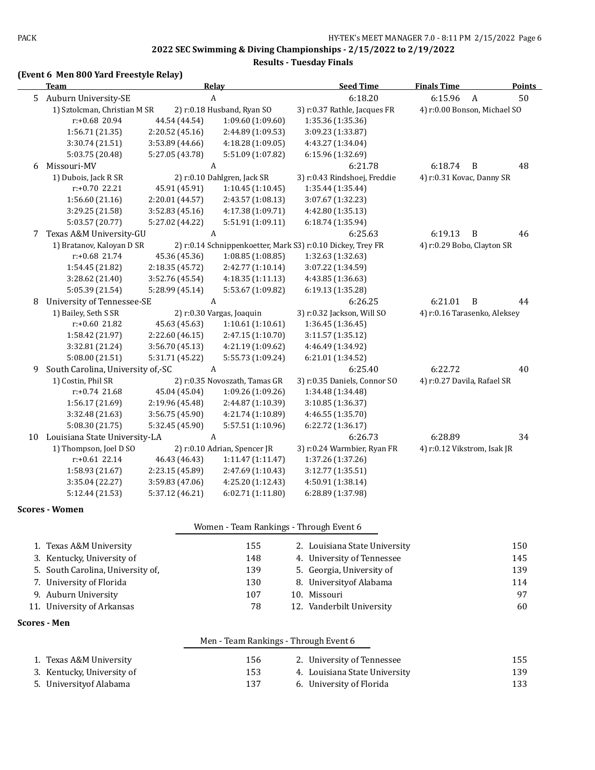**Results - Tuesday Finals**

# **(Event 6 Men 800 Yard Freestyle Relay)**

|    | <b>Team</b>                       |                 | Relay                         | <b>Seed Time</b>                                            | <b>Finals Time</b>           | <b>Points</b> |
|----|-----------------------------------|-----------------|-------------------------------|-------------------------------------------------------------|------------------------------|---------------|
| 5  | Auburn University-SE              |                 | $\boldsymbol{A}$              | 6:18.20                                                     | 6:15.96<br>$\boldsymbol{A}$  | 50            |
|    | 1) Sztolcman, Christian M SR      |                 | 2) r:0.18 Husband, Ryan SO    | 3) r:0.37 Rathle, Jacques FR                                | 4) r:0.00 Bonson, Michael SO |               |
|    | r:+0.68 20.94                     | 44.54 (44.54)   | 1:09.60 (1:09.60)             | 1:35.36 (1:35.36)                                           |                              |               |
|    | 1:56.71 (21.35)                   | 2:20.52 (45.16) | 2:44.89 (1:09.53)             | 3:09.23 (1:33.87)                                           |                              |               |
|    | 3:30.74 (21.51)                   | 3:53.89 (44.66) | 4:18.28 (1:09.05)             | 4:43.27 (1:34.04)                                           |                              |               |
|    | 5:03.75 (20.48)                   | 5:27.05 (43.78) | 5:51.09 (1:07.82)             | 6:15.96 (1:32.69)                                           |                              |               |
| 6  | Missouri-MV                       |                 | A                             | 6:21.78                                                     | 6:18.74<br>B                 | 48            |
|    | 1) Dubois, Jack R SR              |                 | 2) r:0.10 Dahlgren, Jack SR   | 3) r:0.43 Rindshoej, Freddie                                | 4) r:0.31 Kovac, Danny SR    |               |
|    | r:+0.70 22.21                     | 45.91 (45.91)   | 1:10.45(1:10.45)              | 1:35.44 (1:35.44)                                           |                              |               |
|    | 1:56.60(21.16)                    | 2:20.01 (44.57) | 2:43.57 (1:08.13)             | 3:07.67 (1:32.23)                                           |                              |               |
|    | 3:29.25 (21.58)                   | 3:52.83 (45.16) | 4:17.38 (1:09.71)             | 4:42.80 (1:35.13)                                           |                              |               |
|    | 5:03.57 (20.77)                   | 5:27.02 (44.22) | 5:51.91 (1:09.11)             | 6:18.74 (1:35.94)                                           |                              |               |
| 7  | Texas A&M University-GU           |                 | A                             | 6:25.63                                                     | 6:19.13<br>B                 | 46            |
|    | 1) Bratanov, Kaloyan D SR         |                 |                               | 2) r:0.14 Schnippenkoetter, Mark S3) r:0.10 Dickey, Trey FR | 4) r:0.29 Bobo, Clayton SR   |               |
|    | r:+0.68 21.74                     | 45.36 (45.36)   | 1:08.85 (1:08.85)             | 1:32.63 (1:32.63)                                           |                              |               |
|    | 1:54.45 (21.82)                   | 2:18.35 (45.72) | 2:42.77 (1:10.14)             | 3:07.22 (1:34.59)                                           |                              |               |
|    | 3:28.62 (21.40)                   | 3:52.76 (45.54) | 4:18.35 (1:11.13)             | 4:43.85 (1:36.63)                                           |                              |               |
|    | 5:05.39 (21.54)                   | 5:28.99 (45.14) | 5:53.67 (1:09.82)             | 6:19.13 (1:35.28)                                           |                              |               |
| 8  | University of Tennessee-SE        |                 | A                             | 6:26.25                                                     | 6:21.01<br>B                 | 44            |
|    | 1) Bailey, Seth S SR              |                 | 2) r:0.30 Vargas, Joaquin     | 3) r:0.32 Jackson, Will SO                                  | 4) r:0.16 Tarasenko, Aleksey |               |
|    | r:+0.60 21.82                     | 45.63 (45.63)   | 1:10.61(1:10.61)              | 1:36.45 (1:36.45)                                           |                              |               |
|    | 1:58.42 (21.97)                   | 2:22.60 (46.15) | 2:47.15 (1:10.70)             | 3:11.57 (1:35.12)                                           |                              |               |
|    | 3:32.81 (21.24)                   | 3:56.70 (45.13) | 4:21.19 (1:09.62)             | 4:46.49 (1:34.92)                                           |                              |               |
|    | 5:08.00(21.51)                    | 5:31.71 (45.22) | 5:55.73 (1:09.24)             | 6:21.01 (1:34.52)                                           |                              |               |
| 9  | South Carolina, University of,-SC |                 | A                             | 6:25.40                                                     | 6:22.72                      | 40            |
|    | 1) Costin, Phil SR                |                 | 2) r:0.35 Novoszath, Tamas GR | 3) r:0.35 Daniels, Connor SO                                | 4) r:0.27 Davila, Rafael SR  |               |
|    | $r: +0.74$ 21.68                  | 45.04 (45.04)   | 1:09.26 (1:09.26)             | 1:34.48 (1:34.48)                                           |                              |               |
|    | 1:56.17 (21.69)                   | 2:19.96 (45.48) | 2:44.87 (1:10.39)             | 3:10.85 (1:36.37)                                           |                              |               |
|    | 3:32.48 (21.63)                   | 3:56.75 (45.90) | 4:21.74 (1:10.89)             | 4:46.55 (1:35.70)                                           |                              |               |
|    | 5:08.30 (21.75)                   | 5:32.45 (45.90) | 5:57.51 (1:10.96)             | 6:22.72(1:36.17)                                            |                              |               |
| 10 | Louisiana State University-LA     |                 | A                             | 6:26.73                                                     | 6:28.89                      | 34            |
|    | 1) Thompson, Joel D SO            |                 | 2) r:0.10 Adrian, Spencer JR  | 3) r:0.24 Warmbier, Ryan FR                                 | 4) r:0.12 Vikstrom, Isak JR  |               |
|    | $r: +0.61$ 22.14                  | 46.43 (46.43)   | 1:11.47 (1:11.47)             | 1:37.26 (1:37.26)                                           |                              |               |
|    | 1:58.93 (21.67)                   | 2:23.15 (45.89) | 2:47.69 (1:10.43)             | 3:12.77 (1:35.51)                                           |                              |               |
|    | 3:35.04 (22.27)                   | 3:59.83 (47.06) | 4:25.20 (1:12.43)             | 4:50.91 (1:38.14)                                           |                              |               |
|    | 5:12.44 (21.53)                   | 5:37.12 (46.21) | 6:02.71 (1:11.80)             | 6:28.89 (1:37.98)                                           |                              |               |

#### **Scores - Women**

| Women - Team Rankings - Through Event 6 |  |  |  |  |
|-----------------------------------------|--|--|--|--|
|-----------------------------------------|--|--|--|--|

| 1. Texas A&M University           | 155 | 2. Louisiana State University | 150 |
|-----------------------------------|-----|-------------------------------|-----|
|                                   |     |                               |     |
| 3. Kentucky, University of        | 148 | 4. University of Tennessee    | 145 |
| 5. South Carolina, University of, | 139 | 5. Georgia, University of     | 139 |
| 7. University of Florida          | 130 | 8. University of Alabama      | 114 |
| 9. Auburn University              | 107 | 10. Missouri                  | 97  |
| 11. University of Arkansas        | 78  | 12. Vanderbilt University     | 60  |
|                                   |     |                               |     |

### **Scores - Men**

|                            | Men - Team Rankings - Through Event 6 |                               |     |
|----------------------------|---------------------------------------|-------------------------------|-----|
| 1. Texas A&M University    | 156                                   | 2. University of Tennessee    | 155 |
| 3. Kentucky, University of | 153                                   | 4. Louisiana State University | 139 |
| 5. Universityof Alabama    | 137                                   | 6. University of Florida      | 133 |